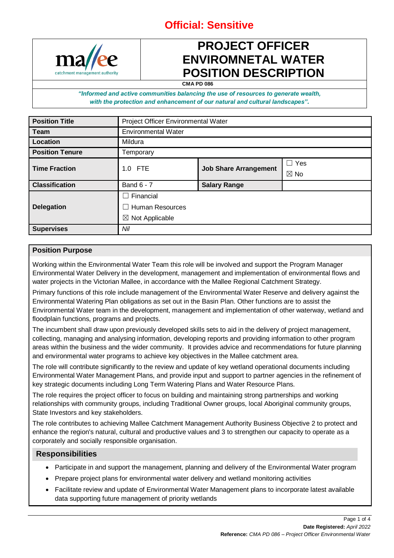

# **PROJECT OFFICER ENVIROMNETAL WATER POSITION DESCRIPTION**

**CMA PD 086**

*"Informed and active communities balancing the use of resources to generate wealth, with the protection and enhancement of our natural and cultural landscapes".*

| <b>Position Title</b>  | <b>Project Officer Environmental Water</b> |                              |                |  |
|------------------------|--------------------------------------------|------------------------------|----------------|--|
| <b>Team</b>            | <b>Environmental Water</b>                 |                              |                |  |
| Location               | Mildura                                    |                              |                |  |
| <b>Position Tenure</b> | Temporary                                  |                              |                |  |
| <b>Time Fraction</b>   | 1.0 FTE                                    | <b>Job Share Arrangement</b> | $\Box$ Yes     |  |
|                        |                                            |                              | $\boxtimes$ No |  |
| <b>Classification</b>  | <b>Band 6 - 7</b>                          | <b>Salary Range</b>          |                |  |
|                        | Financial                                  |                              |                |  |
| <b>Delegation</b>      | <b>Human Resources</b>                     |                              |                |  |
|                        | Not Applicable<br>$\bowtie$                |                              |                |  |
| <b>Supervises</b>      | Nil                                        |                              |                |  |

### **Position Purpose**

Working within the Environmental Water Team this role will be involved and support the Program Manager Environmental Water Delivery in the development, management and implementation of environmental flows and water projects in the Victorian Mallee, in accordance with the Mallee Regional Catchment Strategy.

Primary functions of this role include management of the Environmental Water Reserve and delivery against the Environmental Watering Plan obligations as set out in the Basin Plan. Other functions are to assist the Environmental Water team in the development, management and implementation of other waterway, wetland and floodplain functions, programs and projects.

The incumbent shall draw upon previously developed skills sets to aid in the delivery of project management, collecting, managing and analysing information, developing reports and providing information to other program areas within the business and the wider community. It provides advice and recommendations for future planning and environmental water programs to achieve key objectives in the Mallee catchment area.

The role will contribute significantly to the review and update of key wetland operational documents including Environmental Water Management Plans, and provide input and support to partner agencies in the refinement of key strategic documents including Long Term Watering Plans and Water Resource Plans.

The role requires the project officer to focus on building and maintaining strong partnerships and working relationships with community groups, including Traditional Owner groups, local Aboriginal community groups, State Investors and key stakeholders.

The role contributes to achieving Mallee Catchment Management Authority Business Objective 2 to protect and enhance the region's natural, cultural and productive values and 3 to strengthen our capacity to operate as a corporately and socially responsible organisation.

### **Responsibilities**

- Participate in and support the management, planning and delivery of the Environmental Water program
- Prepare project plans for environmental water delivery and wetland monitoring activities
- Facilitate review and update of Environmental Water Management plans to incorporate latest available data supporting future management of priority wetlands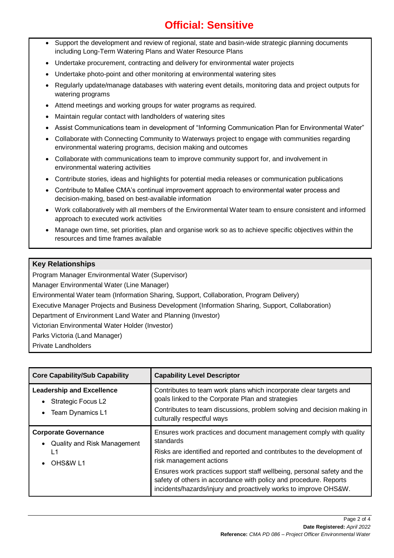- Support the development and review of regional, state and basin-wide strategic planning documents including Long-Term Watering Plans and Water Resource Plans
- Undertake procurement, contracting and delivery for environmental water projects
- Undertake photo-point and other monitoring at environmental watering sites
- Regularly update/manage databases with watering event details, monitoring data and project outputs for watering programs
- Attend meetings and working groups for water programs as required.
- Maintain regular contact with landholders of watering sites
- Assist Communications team in development of "Informing Communication Plan for Environmental Water"
- Collaborate with Connecting Community to Waterways project to engage with communities regarding environmental watering programs, decision making and outcomes
- Collaborate with communications team to improve community support for, and involvement in environmental watering activities
- Contribute stories, ideas and highlights for potential media releases or communication publications
- Contribute to Mallee CMA's continual improvement approach to environmental water process and decision-making, based on best-available information
- Work collaboratively with all members of the Environmental Water team to ensure consistent and informed approach to executed work activities
- Manage own time, set priorities, plan and organise work so as to achieve specific objectives within the resources and time frames available

### **Key Relationships**

Program Manager Environmental Water (Supervisor)

Manager Environmental Water (Line Manager)

Environmental Water team (Information Sharing, Support, Collaboration, Program Delivery)

Executive Manager Projects and Business Development (Information Sharing, Support, Collaboration)

Department of Environment Land Water and Planning (Investor)

Victorian Environmental Water Holder (Investor)

Parks Victoria (Land Manager)

Private Landholders

| <b>Core Capability/Sub Capability</b>                                               | <b>Capability Level Descriptor</b>                                                                                                                                                                                                                                                                                                                                                                        |  |
|-------------------------------------------------------------------------------------|-----------------------------------------------------------------------------------------------------------------------------------------------------------------------------------------------------------------------------------------------------------------------------------------------------------------------------------------------------------------------------------------------------------|--|
| <b>Leadership and Excellence</b><br><b>Strategic Focus L2</b><br>Team Dynamics L1   | Contributes to team work plans which incorporate clear targets and<br>goals linked to the Corporate Plan and strategies<br>Contributes to team discussions, problem solving and decision making in<br>culturally respectful ways                                                                                                                                                                          |  |
| <b>Corporate Governance</b><br><b>Quality and Risk Management</b><br>L1<br>OHS&W L1 | Ensures work practices and document management comply with quality<br>standards<br>Risks are identified and reported and contributes to the development of<br>risk management actions<br>Ensures work practices support staff wellbeing, personal safety and the<br>safety of others in accordance with policy and procedure. Reports<br>incidents/hazards/injury and proactively works to improve OHS&W. |  |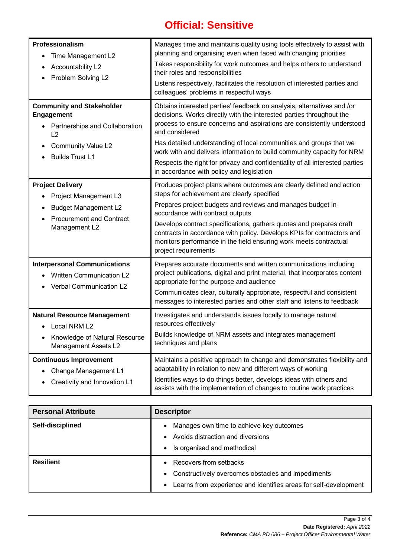| Professionalism<br>Time Management L2<br>$\bullet$<br>Accountability L2<br>Problem Solving L2<br>$\bullet$                                                 | Manages time and maintains quality using tools effectively to assist with<br>planning and organising even when faced with changing priorities<br>Takes responsibility for work outcomes and helps others to understand<br>their roles and responsibilities<br>Listens respectively, facilitates the resolution of interested parties and<br>colleagues' problems in respectful ways                                                                                                                                     |
|------------------------------------------------------------------------------------------------------------------------------------------------------------|-------------------------------------------------------------------------------------------------------------------------------------------------------------------------------------------------------------------------------------------------------------------------------------------------------------------------------------------------------------------------------------------------------------------------------------------------------------------------------------------------------------------------|
| <b>Community and Stakeholder</b><br>Engagement<br>Partnerships and Collaboration<br>L2<br><b>Community Value L2</b><br><b>Builds Trust L1</b><br>$\bullet$ | Obtains interested parties' feedback on analysis, alternatives and /or<br>decisions. Works directly with the interested parties throughout the<br>process to ensure concerns and aspirations are consistently understood<br>and considered<br>Has detailed understanding of local communities and groups that we<br>work with and delivers information to build community capacity for NRM<br>Respects the right for privacy and confidentiality of all interested parties<br>in accordance with policy and legislation |
| <b>Project Delivery</b><br>Project Management L3<br><b>Budget Management L2</b><br><b>Procurement and Contract</b><br>Management L2                        | Produces project plans where outcomes are clearly defined and action<br>steps for achievement are clearly specified<br>Prepares project budgets and reviews and manages budget in<br>accordance with contract outputs<br>Develops contract specifications, gathers quotes and prepares draft<br>contracts in accordance with policy. Develops KPIs for contractors and<br>monitors performance in the field ensuring work meets contractual<br>project requirements                                                     |
| <b>Interpersonal Communications</b><br><b>Written Communication L2</b><br>Verbal Communication L2                                                          | Prepares accurate documents and written communications including<br>project publications, digital and print material, that incorporates content<br>appropriate for the purpose and audience<br>Communicates clear, culturally appropriate, respectful and consistent<br>messages to interested parties and other staff and listens to feedback                                                                                                                                                                          |
| <b>Natural Resource Management</b><br>Local NRM L2<br>Knowledge of Natural Resource<br>Management Assets L2                                                | Investigates and understands issues locally to manage natural<br>resources effectively<br>Builds knowledge of NRM assets and integrates management<br>techniques and plans                                                                                                                                                                                                                                                                                                                                              |
| <b>Continuous Improvement</b><br>Change Management L1<br>Creativity and Innovation L1                                                                      | Maintains a positive approach to change and demonstrates flexibility and<br>adaptability in relation to new and different ways of working<br>Identifies ways to do things better, develops ideas with others and<br>assists with the implementation of changes to routine work practices                                                                                                                                                                                                                                |

| <b>Personal Attribute</b> | <b>Descriptor</b>                                                                                                                                                            |
|---------------------------|------------------------------------------------------------------------------------------------------------------------------------------------------------------------------|
| Self-disciplined          | Manages own time to achieve key outcomes<br>$\bullet$<br>Avoids distraction and diversions<br>$\bullet$<br>Is organised and methodical<br>$\bullet$                          |
| <b>Resilient</b>          | • Recovers from setbacks<br>Constructively overcomes obstacles and impediments<br>$\bullet$<br>Learns from experience and identifies areas for self-development<br>$\bullet$ |